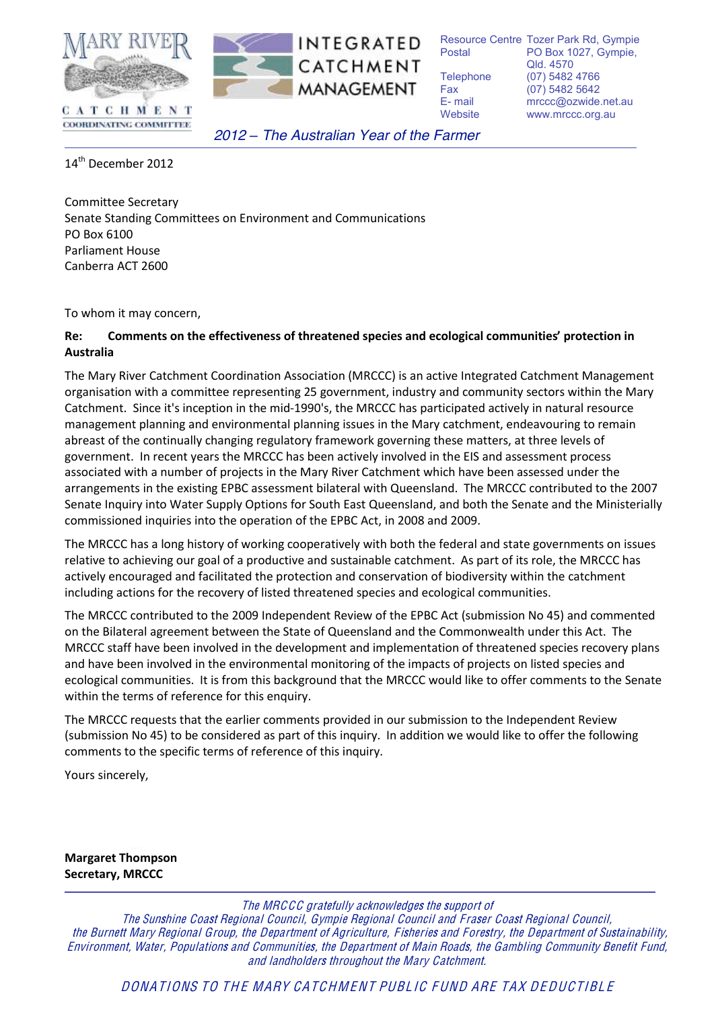

CATCHMENT **COORDINATING COMMITTEE** 

*2012 ! The Australian Year of the Farmer*

Resource Centre Tozer Park Rd, Gympie Postal PO Box 1027, Gympie, Qld. 4570 Telephone (07) 5482 4766 Fax (07) 5482 5642 E- mail mrccc@ozwide.net.au Website www.mrccc.org.au

 $14<sup>th</sup>$  December 2012

Committee Secretary Senate Standing Committees on Environment and Communications PO Box 6100 Parliament House Canberra ACT 2600

To whom it may concern,

#### **Re:** Comments on the effectiveness of threatened species and ecological communities' protection in Australia

The Mary River Catchment Coordination Association (MRCCC) is an active Integrated Catchment Management organisation with a committee representing 25 government, industry and community sectors within the Mary Catchment. Since it's inception in the mid-1990's, the MRCCC has participated actively in natural resource management planning and environmental planning issues in the Mary catchment, endeavouring to remain abreast of the continually changing regulatory framework governing these matters, at three levels of government. In recent years the MRCCC has been actively involved in the EIS and assessment process associated with a number of projects in the Mary River Catchment which have been assessed under the arrangements in the existing EPBC assessment bilateral with Queensland. The MRCCC contributed to the 2007 Senate Inquiry into Water Supply Options for South East Queensland, and both the Senate and the Ministerially commissioned inquiries into the operation of the EPBC Act, in 2008 and 2009.

The MRCCC has a long history of working cooperatively with both the federal and state governments on issues relative to achieving our goal of a productive and sustainable catchment. As part of its role, the MRCCC has actively encouraged and facilitated the protection and conservation of biodiversity within the catchment including actions for the recovery of listed threatened species and ecological communities.

The MRCCC contributed to the 2009 Independent Review of the EPBC Act (submission No 45) and commented on the Bilateral agreement between the State of Queensland and the Commonwealth under this Act. The MRCCC staff have been involved in the development and implementation of threatened species recovery plans and have been involved in the environmental monitoring of the impacts of projects on listed species and ecological communities. It is from this background that the MRCCC would like to offer comments to the Senate within the terms of reference for this enquiry.

The MRCCC requests that the earlier comments provided in our submission to the Independent Review (submission No 45) to be considered as part of this inquiry. In addition we would like to offer the following comments to the specific terms of reference of this inquiry.

Yours sincerely,

**Margaret Thompson Secretary, MRCCC** 

The MRCCC gratefully acknowledge<sup>s</sup> th<sup>e</sup> <sup>s</sup>upport of

Th<sup>e</sup> Sunshine Coast Regional Council, Gympie Regional Council and Fraser Coast Regional Council, the Burnett Mary Regional Group, the Department of Agriculture, Fisheries and Forestry, the Department of Sustainability, Environment, Water, Populations and Communities, the Department of Main Roads, the Gambling Community B<sup>e</sup>nefit Fund, and landholder<sup>s</sup> throughout the Mary Catchment.

DONATIONS TO THE MARY CATCHMENT PUBLIC FUND ARE TAX DEDUCTIBLE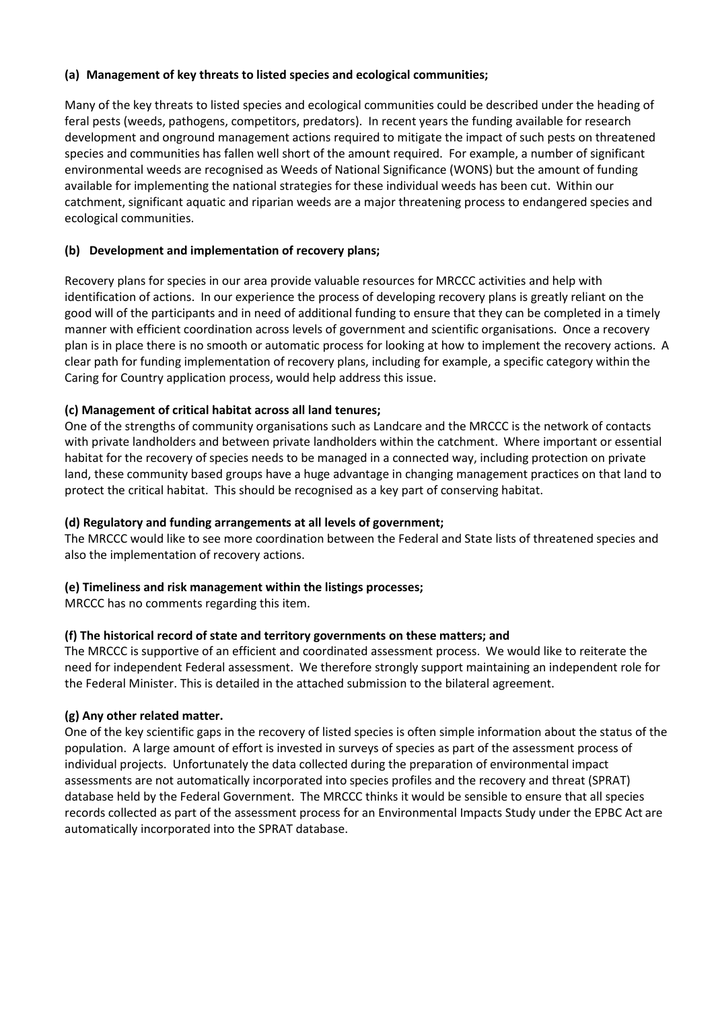### (a) Management of key threats to listed species and ecological communities;

Many of the key threats to listed species and ecological communities could be described under the heading of feral pests (weeds, pathogens, competitors, predators). In recent years the funding available for research development and onground management actions required to mitigate the impact of such pests on threatened species and communities has fallen well short of the amount required. For example, a number of significant environmental weeds are recognised as Weeds of National Significance (WONS) but the amount of funding available for implementing the national strategies for these individual weeds has been cut. Within our catchment, significant aquatic and riparian weeds are a major threatening process to endangered species and ecological communities.

### **(b)** Development and implementation of recovery plans;

Recovery plans for species in our area provide valuable resources for MRCCC activities and help with identification of actions. In our experience the process of developing recovery plans is greatly reliant on the good will of the participants and in need of additional funding to ensure that they can be completed in a timely manner with efficient coordination across levels of government and scientific organisations. Once a recovery plan is in place there is no smooth or automatic process for looking at how to implement the recovery actions. A clear path for funding implementation of recovery plans, including for example, a specific category within the Caring for Country application process, would help address this issue.

### **(c) Management of critical habitat across all land tenures;**

One of the strengths of community organisations such as Landcare and the MRCCC is the network of contacts with private landholders and between private landholders within the catchment. Where important or essential habitat for the recovery of species needs to be managed in a connected way, including protection on private land, these community based groups have a huge advantage in changing management practices on that land to protect the critical habitat. This should be recognised as a key part of conserving habitat.

### **(d) Regulatory and funding arrangements at all levels of government;**

The MRCCC would like to see more coordination between the Federal and State lists of threatened species and also the implementation of recovery actions.

### **(e) Timeliness and risk management within the listings processes;**

MRCCC has no comments regarding this item.

### (f) The historical record of state and territory governments on these matters; and

The MRCCC is supportive of an efficient and coordinated assessment process. We would like to reiterate the need for independent Federal assessment. We therefore strongly support maintaining an independent role for the Federal Minister. This is detailed in the attached submission to the bilateral agreement.

### (g) Any other related matter.

One of the key scientific gaps in the recovery of listed species is often simple information about the status of the population. A large amount of effort is invested in surveys of species as part of the assessment process of individual projects. Unfortunately the data collected during the preparation of environmental impact assessments are not automatically incorporated into species profiles and the recovery and threat (SPRAT) database held by the Federal Government. The MRCCC thinks it would be sensible to ensure that all species records collected as part of the assessment process for an Environmental Impacts Study under the EPBC Act are automatically incorporated into the SPRAT database.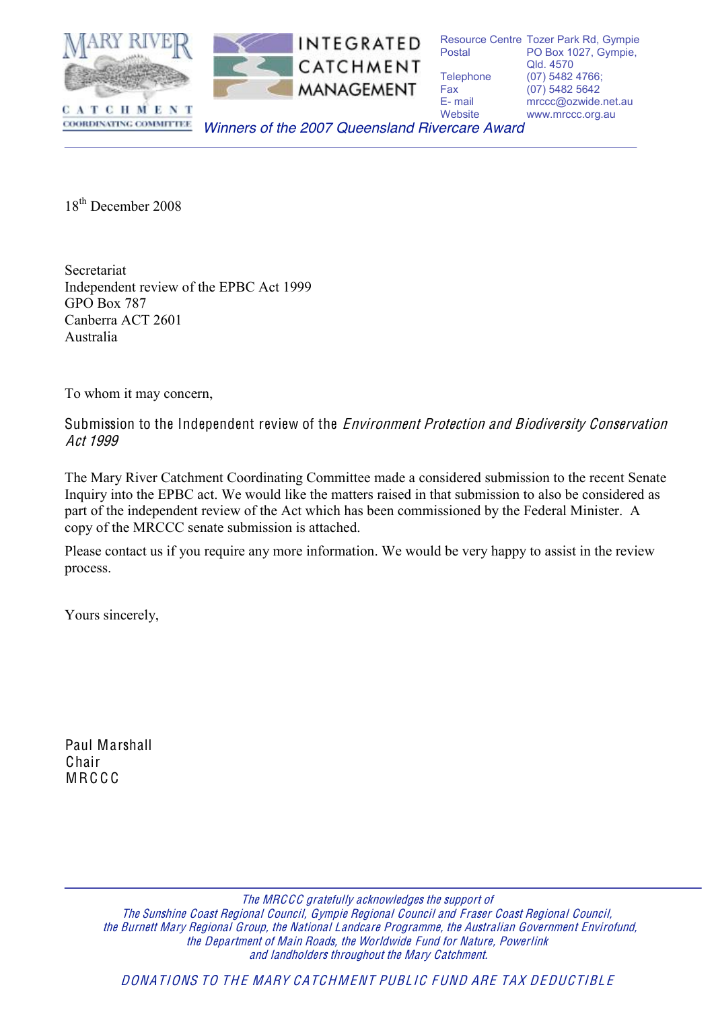

 Resource Centre Tozer Park Rd, Gympie Postal Telephone (07) 5482 4766; Fax (07) 5482 5642 Fax F-mail Website PO Box 1027, Gympie, Qld. 4570 mrccc@ozwide.net.au www.mrccc.org.au

*Winners of the 2007 Queensland Rivercare Award* 

18<sup>th</sup> December 2008

COORDINATING COMMITTEE

 Canberra ACT 2601 Secretariat Independent review of the EPBC Act 1999 GPO Box 787 Australia

To whom it may concern,

Submission to the Independent review of the *Environment Protection and Biodiversity Conservation* Act 1999

 The Mary River Catchment Coordinating Committee made a considered submission to the recent Senate Inquiry into the EPBC act. We would like the matters raised in that submission to also be considered as part of the independent review of the Act which has been commissioned by the Federal Minister. A copy of the MRCCC senate submission is attached.

Please contact us if you require any more information. We would be very happy to assist in the review process.

Yours sincerely,

Paul Marshall **Chair** M R C C C

> the Department of Main Roads, the Worldwide Fund for Nature, Powerlink and landholder<sup>s</sup> throughout the Mary Catchment. The MRCCC gratefully acknowledge<sup>s</sup> th<sup>e</sup> <sup>s</sup>upport of Th<sup>e</sup> Sunshine Coast Regional Council, Gympie Regional Council and Fraser Coast Regional Council, the Burnett Mary Regional Group, the National Landcar<sup>e</sup> Programme, the Australian Government Envirofund,

DONATIONS TO THE MARY CATCHMENT PUBLIC FUND ARE TAX DEDUCTIBLE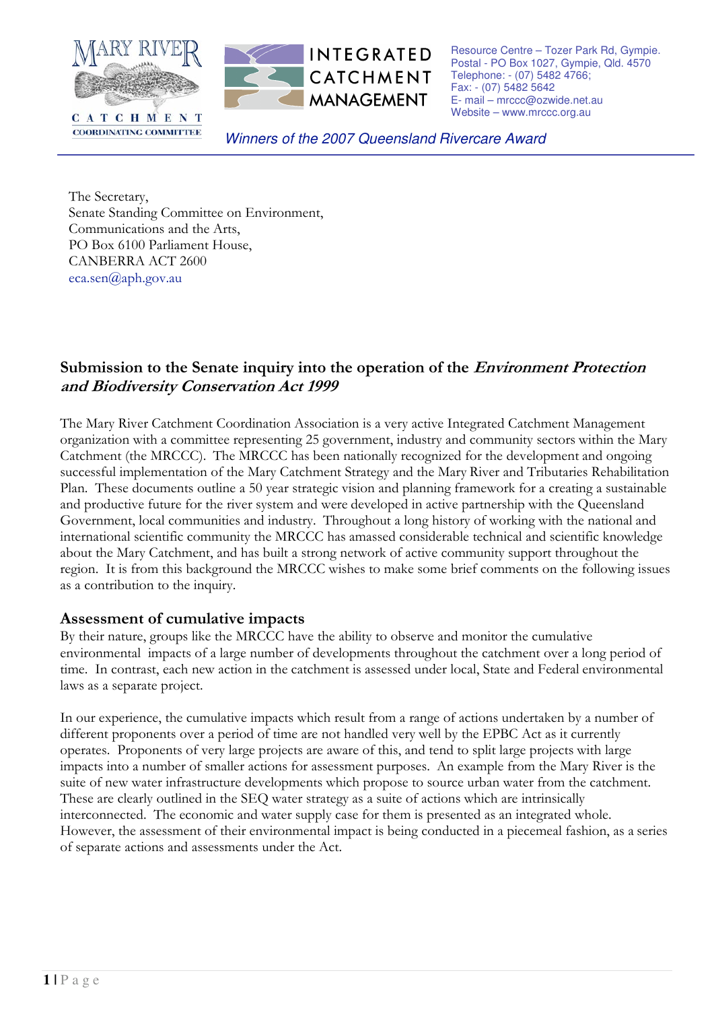

Resource Centre - Tozer Park Rd, Gympie. Postal - PO Box 1027, Gympie, Old. 4570 Telephone: - (07) 5482 4766; Fax: - (07) 5482 5642 E- mail - mrccc@ozwide.net.au Website - www.mrccc.org.au

Winners of the 2007 Queensland Rivercare Award

The Secretary, Senate Standing Committee on Environment, Communications and the Arts, PO Box 6100 Parliament House, **CANBERRA ACT 2600** eca.sen@aph.gov.au

**COORDINATING COMMITTEE** 

# Submission to the Senate inquiry into the operation of the *Environment Protection* and Biodiversity Conservation Act 1999

The Mary River Catchment Coordination Association is a very active Integrated Catchment Management organization with a committee representing 25 government, industry and community sectors within the Mary Catchment (the MRCCC). The MRCCC has been nationally recognized for the development and ongoing successful implementation of the Mary Catchment Strategy and the Mary River and Tributaries Rehabilitation Plan. These documents outline a 50 year strategic vision and planning framework for a creating a sustainable and productive future for the river system and were developed in active partnership with the Queensland Government, local communities and industry. Throughout a long history of working with the national and international scientific community the MRCCC has amassed considerable technical and scientific knowledge about the Mary Catchment, and has built a strong network of active community support throughout the region. It is from this background the MRCCC wishes to make some brief comments on the following issues as a contribution to the inquiry.

## Assessment of cumulative impacts

By their nature, groups like the MRCCC have the ability to observe and monitor the cumulative environmental impacts of a large number of developments throughout the catchment over a long period of time. In contrast, each new action in the catchment is assessed under local, State and Federal environmental laws as a separate project.

In our experience, the cumulative impacts which result from a range of actions undertaken by a number of different proponents over a period of time are not handled very well by the EPBC Act as it currently operates. Proponents of very large projects are aware of this, and tend to split large projects with large impacts into a number of smaller actions for assessment purposes. An example from the Mary River is the suite of new water infrastructure developments which propose to source urban water from the catchment. These are clearly outlined in the SEQ water strategy as a suite of actions which are intrinsically interconnected. The economic and water supply case for them is presented as an integrated whole. However, the assessment of their environmental impact is being conducted in a piecemeal fashion, as a series of separate actions and assessments under the Act.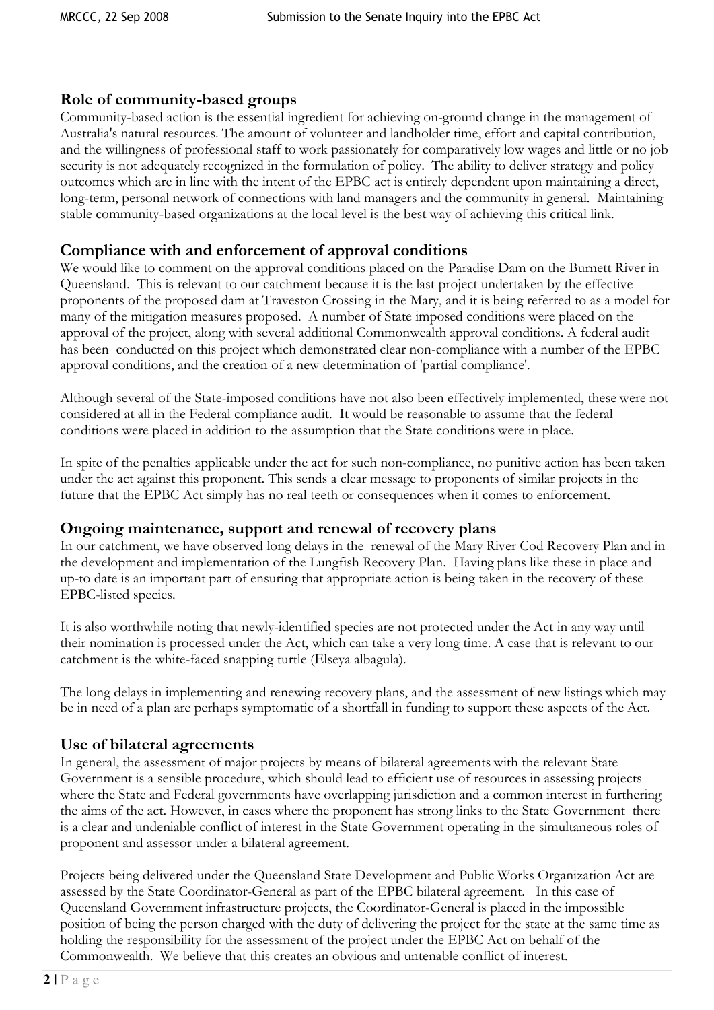## Role of community-based groups

Community-based action is the essential ingredient for achieving on-ground change in the management of Australia's natural resources. The amount of volunteer and landholder time, effort and capital contribution, and the willingness of professional staff to work passionately for comparatively low wages and little or no job security is not adequately recognized in the formulation of policy. The ability to deliver strategy and policy outcomes which are in line with the intent of the EPBC act is entirely dependent upon maintaining a direct, long-term, personal network of connections with land managers and the community in general. Maintaining stable community-based organizations at the local level is the best way of achieving this critical link.

## Compliance with and enforcement of approval conditions

We would like to comment on the approval conditions placed on the Paradise Dam on the Burnett River in Queensland. This is relevant to our catchment because it is the last project undertaken by the effective proponents of the proposed dam at Traveston Crossing in the Mary, and it is being referred to as a model for many of the mitigation measures proposed. A number of State imposed conditions were placed on the approval of the project, along with several additional Commonwealth approval conditions. A federal audit has been conducted on this project which demonstrated clear non-compliance with a number of the EPBC approval conditions, and the creation of a new determination of 'partial compliance'.

Although several of the State-imposed conditions have not also been effectively implemented, these were not considered at all in the Federal compliance audit. It would be reasonable to assume that the federal conditions were placed in addition to the assumption that the State conditions were in place.

In spite of the penalties applicable under the act for such non-compliance, no punitive action has been taken under the act against this proponent. This sends a clear message to proponents of similar projects in the future that the EPBC Act simply has no real teeth or consequences when it comes to enforcement.

## Ongoing maintenance, support and renewal of recovery plans

In our catchment, we have observed long delays in the renewal of the Mary River Cod Recovery Plan and in the development and implementation of the Lungfish Recovery Plan. Having plans like these in place and up-to date is an important part of ensuring that appropriate action is being taken in the recovery of these EPBC-listed species.

It is also worthwhile noting that newly-identified species are not protected under the Act in any way until their nomination is processed under the Act, which can take a very long time. A case that is relevant to our catchment is the white-faced snapping turtle (Elseya albagula).

The long delays in implementing and renewing recovery plans, and the assessment of new listings which may be in need of a plan are perhaps symptomatic of a shortfall in funding to support these aspects of the Act.

# Use of bilateral agreements

In general, the assessment of major projects by means of bilateral agreements with the relevant State Government is a sensible procedure, which should lead to efficient use of resources in assessing projects where the State and Federal governments have overlapping jurisdiction and a common interest in furthering the aims of the act. However, in cases where the proponent has strong links to the State Government there is a clear and undeniable conflict of interest in the State Government operating in the simultaneous roles of proponent and assessor under a bilateral agreement.

Projects being delivered under the Queensland State Development and Public Works Organization Act are assessed by the State Coordinator-General as part of the EPBC bilateral agreement. In this case of Queensland Government infrastructure projects, the Coordinator-General is placed in the impossible position of being the person charged with the duty of delivering the project for the state at the same time as holding the responsibility for the assessment of the project under the EPBC Act on behalf of the Commonwealth. We believe that this creates an obvious and untenable conflict of interest.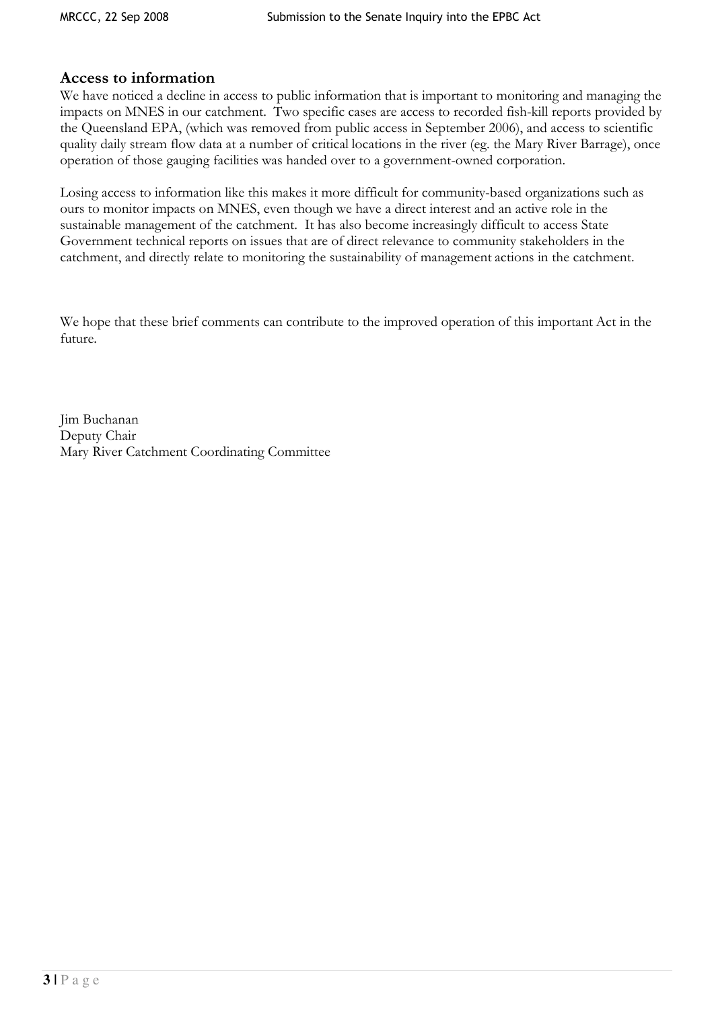## Access to information

We have noticed a decline in access to public information that is important to monitoring and managing the impacts on MNES in our catchment. Two specific cases are access to recorded fish-kill reports provided by the Queensland EPA, (which was removed from public access in September 2006), and access to scientific quality daily stream flow data at a number of critical locations in the river (eg. the Mary River Barrage), once operation of those gauging facilities was handed over to a government-owned corporation.

Losing access to information like this makes it more difficult for community-based organizations such as ours to monitor impacts on MNES, even though we have a direct interest and an active role in the sustainable management of the catchment. It has also become increasingly difficult to access State Government technical reports on issues that are of direct relevance to community stakeholders in the catchment, and directly relate to monitoring the sustainability of management actions in the catchment.

We hope that these brief comments can contribute to the improved operation of this important Act in the future.

Jim Buchanan Deputy Chair Mary River Catchment Coordinating Committee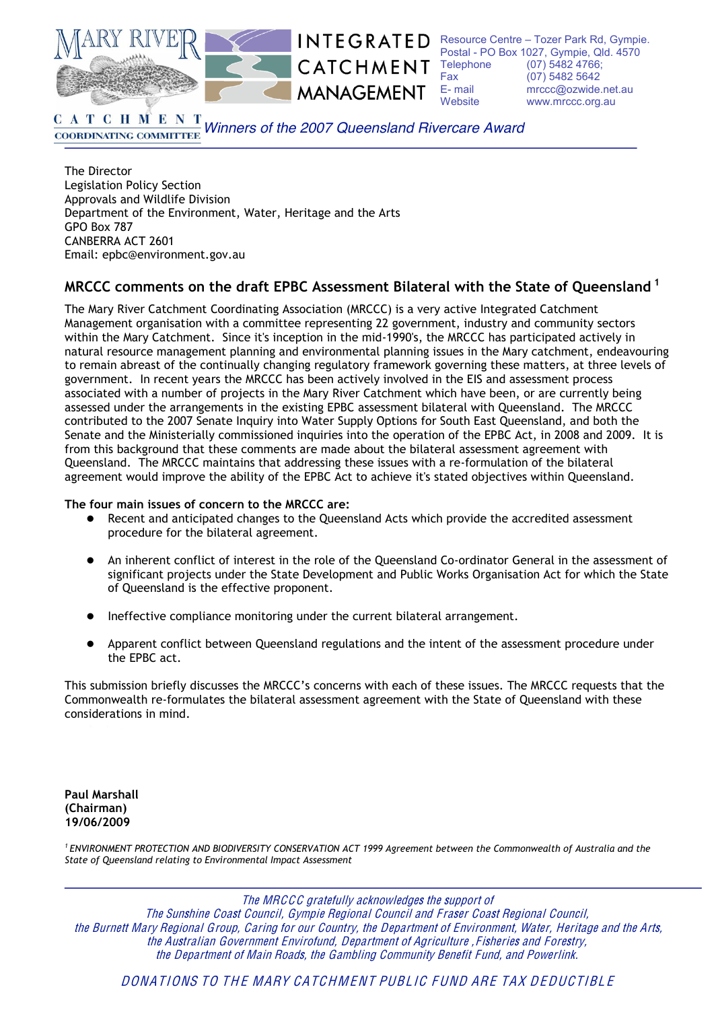

CATCHMENT Fax **MANAGEMENT** 

**INTEGRATED** Resource Centre - Tozer Park Rd, Gympie. Postal - PO Box 1027, Gympie, Qld. 4570 Telephone (07) 5482 4766: (07) 5482 5642  $F - mail$ mrccc@ozwide.net.au Website www.mrccc.org.au

**CATCHMENT** Winners of the 2007 Queensland Rivercare Award **COORDINATING COMMITTEE** 

The Director Legislation Policy Section Approvals and Wildlife Division Department of the Environment, Water, Heritage and the Arts **GPO Box 787** CANBERRA ACT 2601 Email: epbc@environment.gov.au

## MRCCC comments on the draft EPBC Assessment Bilateral with the State of Queensland<sup>1</sup>

The Mary River Catchment Coordinating Association (MRCCC) is a very active Integrated Catchment Management organisation with a committee representing 22 government, industry and community sectors within the Mary Catchment. Since it's inception in the mid-1990's, the MRCCC has participated actively in natural resource management planning and environmental planning issues in the Mary catchment, endeavouring to remain abreast of the continually changing regulatory framework governing these matters, at three levels of government. In recent years the MRCCC has been actively involved in the EIS and assessment process associated with a number of projects in the Mary River Catchment which have been, or are currently being assessed under the arrangements in the existing EPBC assessment bilateral with Oueensland. The MRCCC contributed to the 2007 Senate Inquiry into Water Supply Options for South East Queensland, and both the Senate and the Ministerially commissioned inquiries into the operation of the EPBC Act, in 2008 and 2009. It is from this background that these comments are made about the bilateral assessment agreement with Queensland. The MRCCC maintains that addressing these issues with a re-formulation of the bilateral agreement would improve the ability of the EPBC Act to achieve it's stated objectives within Queensland.

#### The four main issues of concern to the MRCCC are:

- Recent and anticipated changes to the Queensland Acts which provide the accredited assessment procedure for the bilateral agreement.
- An inherent conflict of interest in the role of the Queensland Co-ordinator General in the assessment of significant projects under the State Development and Public Works Organisation Act for which the State of Queensland is the effective proponent.
- Ineffective compliance monitoring under the current bilateral arrangement.
- Apparent conflict between Queensland regulations and the intent of the assessment procedure under the EPBC act.

This submission briefly discusses the MRCCC's concerns with each of these issues. The MRCCC requests that the Commonwealth re-formulates the bilateral assessment agreement with the State of Queensland with these considerations in mind.

**Paul Marshall** (Chairman) 19/06/2009

<sup>1</sup> ENVIRONMENT PROTECTION AND BIODIVERSITY CONSERVATION ACT 1999 Agreement between the Commonwealth of Australia and the State of Queensland relating to Environmental Impact Assessment

The MRCCC gratefully acknowledges the support of

The Sunshine Coast Council, Gympie Regional Council and Fraser Coast Regional Council, the Burnett Mary Regional Group, Caring for our Country, the Department of Environment, Water, Heritage and the Arts, the Australian Government Envirofund, Department of Agriculture, Fisheries and Forestry, the Department of Main Roads, the Gambling Community Benefit Fund, and Powerlink.

DONATIONS TO THE MARY CATCHMENT PUBLIC FUND ARE TAX DEDUCTIBLE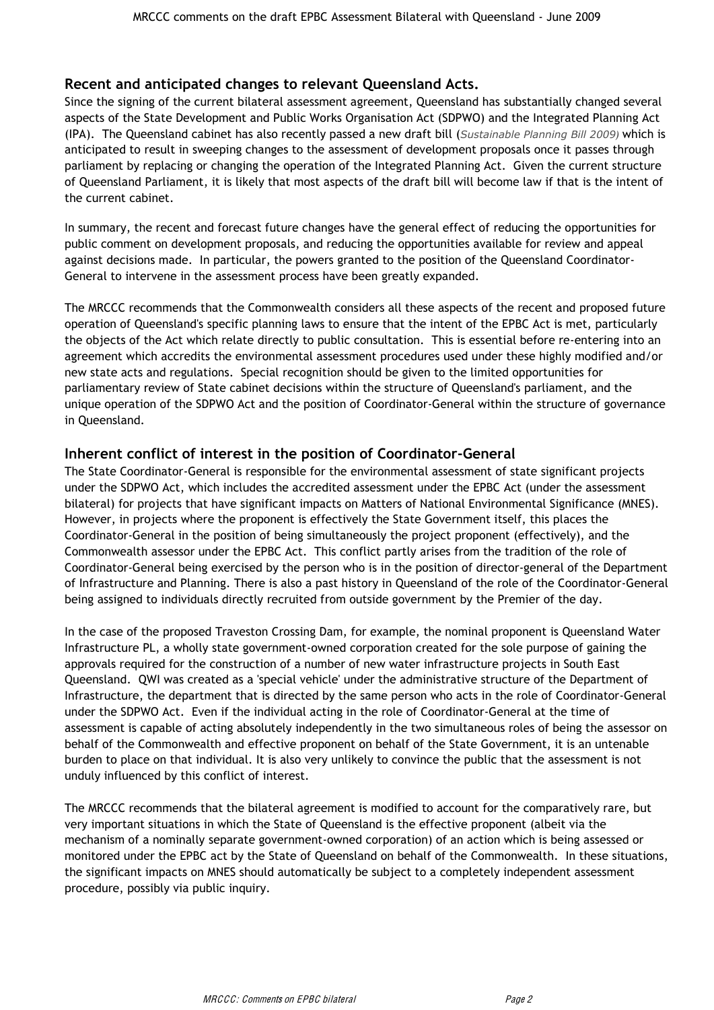### Recent and anticipated changes to relevant Queensland Acts.

Since the signing of the current bilateral assessment agreement, Queensland has substantially changed several aspects of the State Development and Public Works Organisation Act (SDPWO) and the Integrated Planning Act (IPA). The Queensland cabinet has also recently passed a new draft bill (Sustainable Planning Bill 2009) which is anticipated to result in sweeping changes to the assessment of development proposals once it passes through parliament by replacing or changing the operation of the Integrated Planning Act. Given the current structure of Queensland Parliament, it is likely that most aspects of the draft bill will become law if that is the intent of the current cabinet.

In summary, the recent and forecast future changes have the general effect of reducing the opportunities for public comment on development proposals, and reducing the opportunities available for review and appeal against decisions made. In particular, the powers granted to the position of the Queensland Coordinator-General to intervene in the assessment process have been greatly expanded.

The MRCCC recommends that the Commonwealth considers all these aspects of the recent and proposed future operation of Queensland's specific planning laws to ensure that the intent of the EPBC Act is met, particularly the objects of the Act which relate directly to public consultation. This is essential before re-entering into an agreement which accredits the environmental assessment procedures used under these highly modified and/or new state acts and regulations. Special recognition should be given to the limited opportunities for parliamentary review of State cabinet decisions within the structure of Queensland's parliament, and the unique operation of the SDPWO Act and the position of Coordinator-General within the structure of governance in Queensland.

### Inherent conflict of interest in the position of Coordinator-General

The State Coordinator-General is responsible for the environmental assessment of state significant projects under the SDPWO Act, which includes the accredited assessment under the EPBC Act (under the assessment bilateral) for projects that have significant impacts on Matters of National Environmental Significance (MNES). However, in projects where the proponent is effectively the State Government itself, this places the Coordinator-General in the position of being simultaneously the project proponent (effectively), and the Commonwealth assessor under the EPBC Act. This conflict partly arises from the tradition of the role of Coordinator-General being exercised by the person who is in the position of director-general of the Department of Infrastructure and Planning. There is also a past history in Queensland of the role of the Coordinator-General being assigned to individuals directly recruited from outside government by the Premier of the day.

In the case of the proposed Traveston Crossing Dam, for example, the nominal proponent is Queensland Water Infrastructure PL, a wholly state government-owned corporation created for the sole purpose of gaining the approvals required for the construction of a number of new water infrastructure projects in South East Queensland. QWI was created as a 'special vehicle' under the administrative structure of the Department of Infrastructure, the department that is directed by the same person who acts in the role of Coordinator-General under the SDPWO Act. Even if the individual acting in the role of Coordinator-General at the time of assessment is capable of acting absolutely independently in the two simultaneous roles of being the assessor on behalf of the Commonwealth and effective proponent on behalf of the State Government, it is an untenable burden to place on that individual. It is also very unlikely to convince the public that the assessment is not unduly influenced by this conflict of interest.

The MRCCC recommends that the bilateral agreement is modified to account for the comparatively rare, but very important situations in which the State of Queensland is the effective proponent (albeit via the mechanism of a nominally separate government-owned corporation) of an action which is being assessed or monitored under the EPBC act by the State of Queensland on behalf of the Commonwealth. In these situations, the significant impacts on MNES should automatically be subject to a completely independent assessment procedure, possibly via public inquiry.